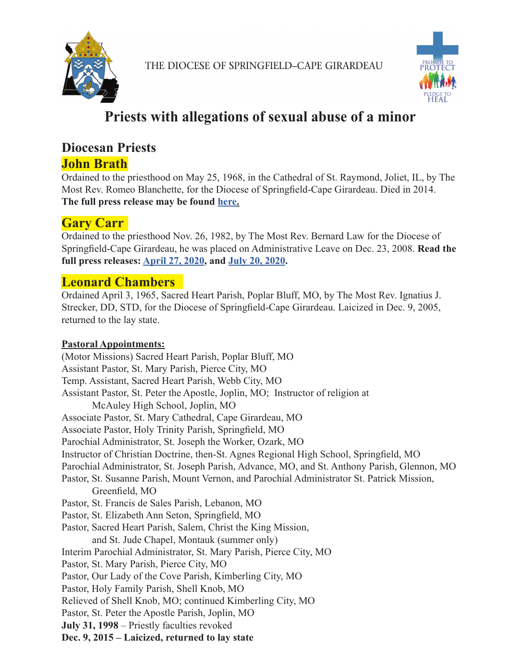



# **Priests with allegations of sexual abuse of a minor**

# **Diocesan Priests**

### **John Brath**

Ordained to the priesthood on May 25, 1968, in the Cathedral of St. Raymond, Joliet, IL, by The Most Rev. Romeo Blanchette, for the Diocese of Springfield-Cape Girardeau. Died in 2014. **The full press release may be found [here.](http://dioscg.org/wp-content/uploads/PressRelease-Brath2.pdf)**

# **Gary Carr**

Ordained to the priesthood Nov. 26, 1982, by The Most Rev. Bernard Law for the Diocese of Springfield-Cape Girardeau, he was placed on Administrative Leave on Dec. 23, 2008. **Read the full press releases: [April 27, 2020,](http://dioscg.org/wp-content/uploads/PressRelease-Carr042720a.pdf) and [July 20, 2020](https://dioscg.org/wp-content/uploads/FINALPressRelease-Carr2-072020.pdf).**

# **Leonard Chambers**

Ordained April 3, 1965, Sacred Heart Parish, Poplar Bluff, MO, by The Most Rev. Ignatius J. Strecker, DD, STD, for the Diocese of Springfield-Cape Girardeau. Laicized in Dec. 9, 2005, returned to the lay state.

#### **Pastoral Appointments:**

(Motor Missions) Sacred Heart Parish, Poplar Bluff, MO Assistant Pastor, St. Mary Parish, Pierce City, MO Temp. Assistant, Sacred Heart Parish, Webb City, MO Assistant Pastor, St. Peter the Apostle, Joplin, MO; Instructor of religion at McAuley High School, Joplin, MO Associate Pastor, St. Mary Cathedral, Cape Girardeau, MO Associate Pastor, Holy Trinity Parish, Springfield, MO Parochial Administrator, St. Joseph the Worker, Ozark, MO Instructor of Christian Doctrine, then-St. Agnes Regional High School, Springfield, MO Parochial Administrator, St. Joseph Parish, Advance, MO, and St. Anthony Parish, Glennon, MO Pastor, St. Susanne Parish, Mount Vernon, and Parochial Administrator St. Patrick Mission, Greenfield, MO Pastor, St. Francis de Sales Parish, Lebanon, MO Pastor, St. Elizabeth Ann Seton, Springfield, MO Pastor, Sacred Heart Parish, Salem, Christ the King Mission, and St. Jude Chapel, Montauk (summer only) Interim Parochial Administrator, St. Mary Parish, Pierce City, MO Pastor, St. Mary Parish, Pierce City, MO Pastor, Our Lady of the Cove Parish, Kimberling City, MO Pastor, Holy Family Parish, Shell Knob, MO Relieved of Shell Knob, MO; continued Kimberling City, MO Pastor, St. Peter the Apostle Parish, Joplin, MO **July 31, 1998** – Priestly faculties revoked **Dec. 9, 2015 – Laicized, returned to lay state**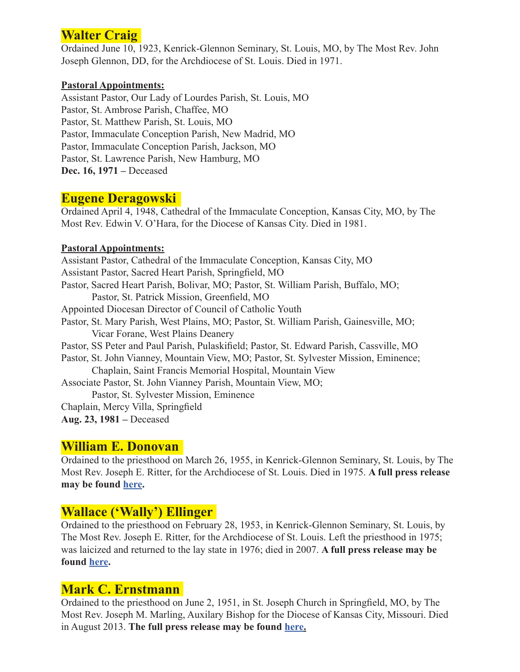# **Walter Craig**

Ordained June 10, 1923, Kenrick-Glennon Seminary, St. Louis, MO, by The Most Rev. John Joseph Glennon, DD, for the Archdiocese of St. Louis. Died in 1971.

#### **Pastoral Appointments:**

Assistant Pastor, Our Lady of Lourdes Parish, St. Louis, MO Pastor, St. Ambrose Parish, Chaffee, MO Pastor, St. Matthew Parish, St. Louis, MO Pastor, Immaculate Conception Parish, New Madrid, MO Pastor, Immaculate Conception Parish, Jackson, MO Pastor, St. Lawrence Parish, New Hamburg, MO **Dec. 16, 1971 –** Deceased

### **Eugene Deragowski**

Ordained April 4, 1948, Cathedral of the Immaculate Conception, Kansas City, MO, by The Most Rev. Edwin V. O'Hara, for the Diocese of Kansas City. Died in 1981.

#### **Pastoral Appointments:**

Assistant Pastor, Cathedral of the Immaculate Conception, Kansas City, MO Assistant Pastor, Sacred Heart Parish, Springfield, MO Pastor, Sacred Heart Parish, Bolivar, MO; Pastor, St. William Parish, Buffalo, MO; Pastor, St. Patrick Mission, Greenfield, MO Appointed Diocesan Director of Council of Catholic Youth Pastor, St. Mary Parish, West Plains, MO; Pastor, St. William Parish, Gainesville, MO; Vicar Forane, West Plains Deanery Pastor, SS Peter and Paul Parish, Pulaskifield; Pastor, St. Edward Parish, Cassville, MO Pastor, St. John Vianney, Mountain View, MO; Pastor, St. Sylvester Mission, Eminence; Chaplain, Saint Francis Memorial Hospital, Mountain View Associate Pastor, St. John Vianney Parish, Mountain View, MO; Pastor, St. Sylvester Mission, Eminence Chaplain, Mercy Villa, Springfield **Aug. 23, 1981 –** Deceased

### **William E. Donovan**

Ordained to the priesthood on March 26, 1955, in Kenrick-Glennon Seminary, St. Louis, by The Most Rev. Joseph E. Ritter, for the Archdiocese of St. Louis. Died in 1975. **A full press release may be found [here](http://dioscg.org/wp-content/uploads/PressRelease-Donovan101419b.pdf).**

# **Wallace ('Wally') Ellinger**

Ordained to the priesthood on February 28, 1953, in Kenrick-Glennon Seminary, St. Louis, by The Most Rev. Joseph E. Ritter, for the Archdiocese of St. Louis. Left the priesthood in 1975; was laicized and returned to the lay state in 1976; died in 2007. **A full press release may be found [here](http://dioscg.org/wp-content/uploads/PressRelease-Ellinger073119.pdf).**

# **Mark C. Ernstmann**

Ordained to the priesthood on June 2, 1951, in St. Joseph Church in Springfield, MO, by The Most Rev. Joseph M. Marling, Auxilary Bishop for the Diocese of Kansas City, Missouri. Died in August 2013. **The full press release may be found [here.](http://dioscg.org/wp-content/uploads/FINALPressRelease-Ernstmann.pdf)**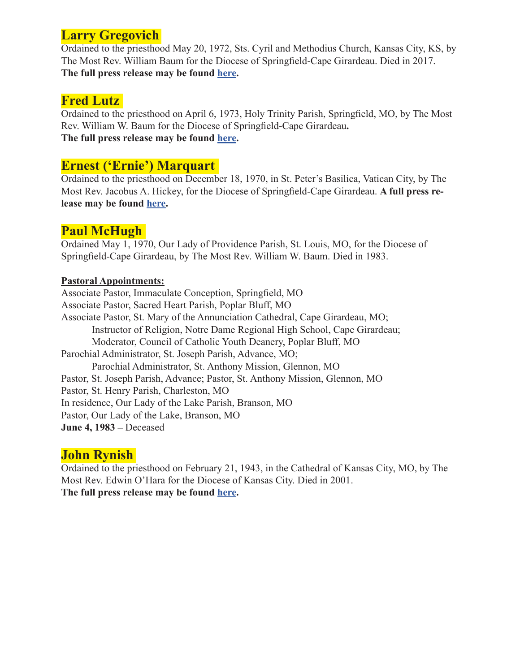## **Larry Gregovich**

Ordained to the priesthood May 20, 1972, Sts. Cyril and Methodius Church, Kansas City, KS, by The Most Rev. William Baum for the Diocese of Springfield-Cape Girardeau. Died in 2017. **The full press release may be found [here](http://dioscg.org/wp-content/uploads/PressRelease-Gregovich.pdf).**

### **Fred Lutz**

Ordained to the priesthood on April 6, 1973, Holy Trinity Parish, Springfield, MO, by The Most Rev. William W. Baum for the Diocese of Springfield-Cape Girardeau**. The full press release may be found [here](http://dioscg.org/wp-content/uploads/PressRelease-Lutz021920.pdf).**

### **Ernest ('Ernie') Marquart**

Ordained to the priesthood on December 18, 1970, in St. Peter's Basilica, Vatican City, by The Most Rev. Jacobus A. Hickey, for the Diocese of Springfield-Cape Girardeau. **A full press release may be found [here](http://dioscg.org/wp-content/uploads/PressRelease-Marquart073119.pdf).**

# **Paul McHugh**

Ordained May 1, 1970, Our Lady of Providence Parish, St. Louis, MO, for the Diocese of Springfield-Cape Girardeau, by The Most Rev. William W. Baum. Died in 1983.

#### **Pastoral Appointments:**

Associate Pastor, Immaculate Conception, Springfield, MO Associate Pastor, Sacred Heart Parish, Poplar Bluff, MO Associate Pastor, St. Mary of the Annunciation Cathedral, Cape Girardeau, MO; Instructor of Religion, Notre Dame Regional High School, Cape Girardeau; Moderator, Council of Catholic Youth Deanery, Poplar Bluff, MO Parochial Administrator, St. Joseph Parish, Advance, MO; Parochial Administrator, St. Anthony Mission, Glennon, MO Pastor, St. Joseph Parish, Advance; Pastor, St. Anthony Mission, Glennon, MO Pastor, St. Henry Parish, Charleston, MO In residence, Our Lady of the Lake Parish, Branson, MO Pastor, Our Lady of the Lake, Branson, MO **June 4, 1983 –** Deceased

# **John Rynish**

Ordained to the priesthood on February 21, 1943, in the Cathedral of Kansas City, MO, by The Most Rev. Edwin O'Hara for the Diocese of Kansas City. Died in 2001. **The full press release may be found [here](http://dioscg.org/wp-content/uploads/FINALPressRelease-Rynish.pdf).**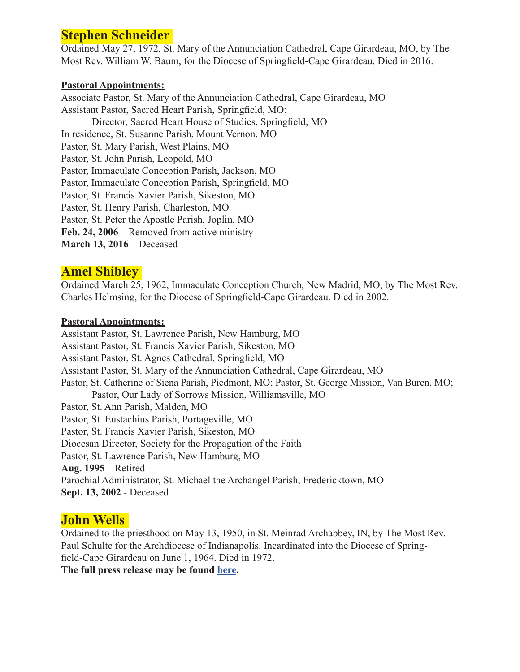### **Stephen Schneider**

Ordained May 27, 1972, St. Mary of the Annunciation Cathedral, Cape Girardeau, MO, by The Most Rev. William W. Baum, for the Diocese of Springfield-Cape Girardeau. Died in 2016.

#### **Pastoral Appointments:**

Associate Pastor, St. Mary of the Annunciation Cathedral, Cape Girardeau, MO Assistant Pastor, Sacred Heart Parish, Springfield, MO; Director, Sacred Heart House of Studies, Springfield, MO In residence, St. Susanne Parish, Mount Vernon, MO Pastor, St. Mary Parish, West Plains, MO Pastor, St. John Parish, Leopold, MO Pastor, Immaculate Conception Parish, Jackson, MO Pastor, Immaculate Conception Parish, Springfield, MO Pastor, St. Francis Xavier Parish, Sikeston, MO Pastor, St. Henry Parish, Charleston, MO Pastor, St. Peter the Apostle Parish, Joplin, MO Feb. 24, 2006 – Removed from active ministry **March 13, 2016** – Deceased

# **Amel Shibley**

Ordained March 25, 1962, Immaculate Conception Church, New Madrid, MO, by The Most Rev. Charles Helmsing, for the Diocese of Springfield-Cape Girardeau. Died in 2002.

#### **Pastoral Appointments:**

Assistant Pastor, St. Lawrence Parish, New Hamburg, MO Assistant Pastor, St. Francis Xavier Parish, Sikeston, MO Assistant Pastor, St. Agnes Cathedral, Springfield, MO Assistant Pastor, St. Mary of the Annunciation Cathedral, Cape Girardeau, MO Pastor, St. Catherine of Siena Parish, Piedmont, MO; Pastor, St. George Mission, Van Buren, MO; Pastor, Our Lady of Sorrows Mission, Williamsville, MO Pastor, St. Ann Parish, Malden, MO Pastor, St. Eustachius Parish, Portageville, MO Pastor, St. Francis Xavier Parish, Sikeston, MO Diocesan Director, Society for the Propagation of the Faith Pastor, St. Lawrence Parish, New Hamburg, MO **Aug. 1995** – Retired Parochial Administrator, St. Michael the Archangel Parish, Fredericktown, MO **Sept. 13, 2002** - Deceased

## **John Wells**

Ordained to the priesthood on May 13, 1950, in St. Meinrad Archabbey, IN, by The Most Rev. Paul Schulte for the Archdiocese of Indianapolis. Incardinated into the Diocese of Springfield-Cape Girardeau on June 1, 1964. Died in 1972.

**The full press release may be found [here](http://dioscg.org/wp-content/uploads/PressRelease-WellsJohn-1.pdf).**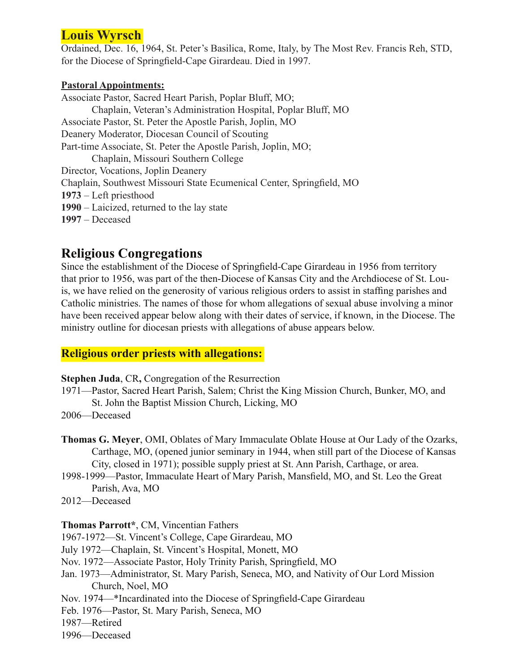### **Louis Wyrsch**

Ordained, Dec. 16, 1964, St. Peter's Basilica, Rome, Italy, by The Most Rev. Francis Reh, STD, for the Diocese of Springfield-Cape Girardeau. Died in 1997.

#### **Pastoral Appointments:**

Associate Pastor, Sacred Heart Parish, Poplar Bluff, MO; Chaplain, Veteran's Administration Hospital, Poplar Bluff, MO Associate Pastor, St. Peter the Apostle Parish, Joplin, MO Deanery Moderator, Diocesan Council of Scouting Part-time Associate, St. Peter the Apostle Parish, Joplin, MO; Chaplain, Missouri Southern College Director, Vocations, Joplin Deanery Chaplain, Southwest Missouri State Ecumenical Center, Springfield, MO **1973** – Left priesthood **1990** – Laicized, returned to the lay state **1997** – Deceased

# **Religious Congregations**

Since the establishment of the Diocese of Springfield-Cape Girardeau in 1956 from territory that prior to 1956, was part of the then-Diocese of Kansas City and the Archdiocese of St. Louis, we have relied on the generosity of various religious orders to assist in staffing parishes and Catholic ministries. The names of those for whom allegations of sexual abuse involving a minor have been received appear below along with their dates of service, if known, in the Diocese. The ministry outline for diocesan priests with allegations of abuse appears below.

### **Religious order priests with allegations:**

#### **Stephen Juda**, CR**,** Congregation of the Resurrection

1971—Pastor, Sacred Heart Parish, Salem; Christ the King Mission Church, Bunker, MO, and St. John the Baptist Mission Church, Licking, MO

2006—Deceased

- **Thomas G. Meyer**, OMI, Oblates of Mary Immaculate Oblate House at Our Lady of the Ozarks, Carthage, MO, (opened junior seminary in 1944, when still part of the Diocese of Kansas City, closed in 1971); possible supply priest at St. Ann Parish, Carthage, or area.
- 1998-1999—Pastor, Immaculate Heart of Mary Parish, Mansfield, MO, and St. Leo the Great Parish, Ava, MO
- 2012—Deceased

**Thomas Parrott\***, CM, Vincentian Fathers

1967-1972—St. Vincent's College, Cape Girardeau, MO

July 1972—Chaplain, St. Vincent's Hospital, Monett, MO

Nov. 1972—Associate Pastor, Holy Trinity Parish, Springfield, MO

Jan. 1973—Administrator, St. Mary Parish, Seneca, MO, and Nativity of Our Lord Mission Church, Noel, MO

Nov. 1974—\*Incardinated into the Diocese of Springfield-Cape Girardeau

Feb. 1976—Pastor, St. Mary Parish, Seneca, MO

1987—Retired

1996—Deceased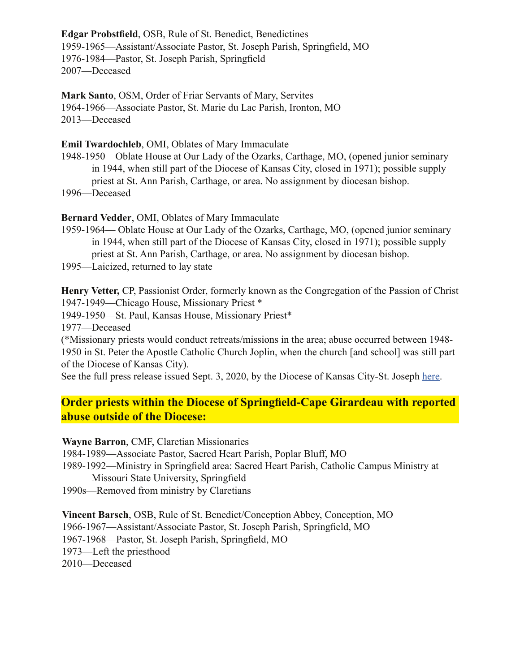**Edgar Probstfield**, OSB, Rule of St. Benedict, Benedictines 1959-1965—Assistant/Associate Pastor, St. Joseph Parish, Springfield, MO 1976-1984—Pastor, St. Joseph Parish, Springfield 2007—Deceased

**Mark Santo**, OSM, Order of Friar Servants of Mary, Servites 1964-1966—Associate Pastor, St. Marie du Lac Parish, Ironton, MO 2013—Deceased

**Emil Twardochleb**, OMI, Oblates of Mary Immaculate

1948-1950—Oblate House at Our Lady of the Ozarks, Carthage, MO, (opened junior seminary in 1944, when still part of the Diocese of Kansas City, closed in 1971); possible supply priest at St. Ann Parish, Carthage, or area. No assignment by diocesan bishop.

1996—Deceased

**Bernard Vedder**, OMI, Oblates of Mary Immaculate

- 1959-1964— Oblate House at Our Lady of the Ozarks, Carthage, MO, (opened junior seminary in 1944, when still part of the Diocese of Kansas City, closed in 1971); possible supply priest at St. Ann Parish, Carthage, or area. No assignment by diocesan bishop.
- 1995—Laicized, returned to lay state

**Henry Vetter,** CP, Passionist Order, formerly known as the Congregation of the Passion of Christ 1947-1949—Chicago House, Missionary Priest \*

1949-1950—St. Paul, Kansas House, Missionary Priest\*

1977—Deceased

(\*Missionary priests would conduct retreats/missions in the area; abuse occurred between 1948- 1950 in St. Peter the Apostle Catholic Church Joplin, when the church [and school] was still part of the Diocese of Kansas City).

See the full press release issued Sept. 3, 2020, by the Diocese of Kansas City-St. Joseph [here.](https://kcsjcatholic.org/2020/09/notice/)

### **Order priests within the Diocese of Springfield-Cape Girardeau with reported abuse outside of the Diocese:**

**Wayne Barron**, CMF, Claretian Missionaries

1984-1989—Associate Pastor, Sacred Heart Parish, Poplar Bluff, MO

- 1989-1992—Ministry in Springfield area: Sacred Heart Parish, Catholic Campus Ministry at Missouri State University, Springfield
- 1990s—Removed from ministry by Claretians

**Vincent Barsch**, OSB, Rule of St. Benedict/Conception Abbey, Conception, MO 1966-1967—Assistant/Associate Pastor, St. Joseph Parish, Springfield, MO 1967-1968—Pastor, St. Joseph Parish, Springfield, MO 1973—Left the priesthood 2010—Deceased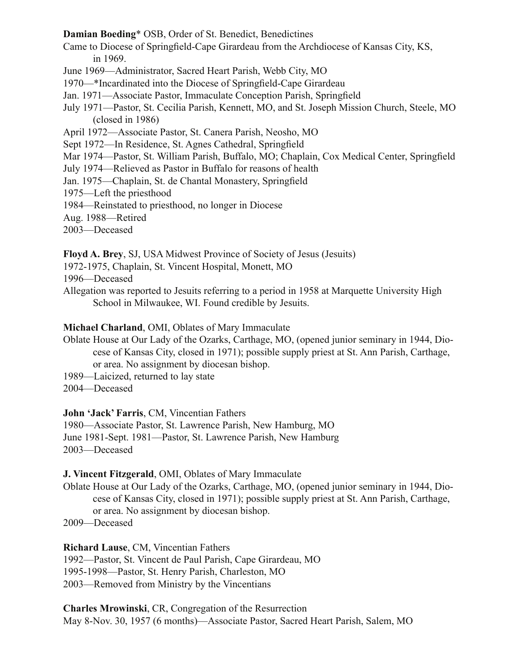**Damian Boeding**\* OSB, Order of St. Benedict, Benedictines

Came to Diocese of Springfield-Cape Girardeau from the Archdiocese of Kansas City, KS, in 1969.

June 1969—Administrator, Sacred Heart Parish, Webb City, MO

1970—\*Incardinated into the Diocese of Springfield-Cape Girardeau

Jan. 1971—Associate Pastor, Immaculate Conception Parish, Springfield

- July 1971—Pastor, St. Cecilia Parish, Kennett, MO, and St. Joseph Mission Church, Steele, MO (closed in 1986)
- April 1972—Associate Pastor, St. Canera Parish, Neosho, MO

Sept 1972—In Residence, St. Agnes Cathedral, Springfield

Mar 1974—Pastor, St. William Parish, Buffalo, MO; Chaplain, Cox Medical Center, Springfield

July 1974—Relieved as Pastor in Buffalo for reasons of health

Jan. 1975—Chaplain, St. de Chantal Monastery, Springfield

1975—Left the priesthood

1984—Reinstated to priesthood, no longer in Diocese

Aug. 1988—Retired

2003—Deceased

**Floyd A. Brey**, SJ, USA Midwest Province of Society of Jesus (Jesuits)

1972-1975, Chaplain, St. Vincent Hospital, Monett, MO

1996—Deceased

Allegation was reported to Jesuits referring to a period in 1958 at Marquette University High School in Milwaukee, WI. Found credible by Jesuits.

#### **Michael Charland**, OMI, Oblates of Mary Immaculate

- Oblate House at Our Lady of the Ozarks, Carthage, MO, (opened junior seminary in 1944, Diocese of Kansas City, closed in 1971); possible supply priest at St. Ann Parish, Carthage, or area. No assignment by diocesan bishop.
- 1989—Laicized, returned to lay state

2004—Deceased

**John 'Jack' Farris**, CM, Vincentian Fathers

1980—Associate Pastor, St. Lawrence Parish, New Hamburg, MO June 1981-Sept. 1981—Pastor, St. Lawrence Parish, New Hamburg 2003—Deceased

**J. Vincent Fitzgerald**, OMI, Oblates of Mary Immaculate

Oblate House at Our Lady of the Ozarks, Carthage, MO, (opened junior seminary in 1944, Diocese of Kansas City, closed in 1971); possible supply priest at St. Ann Parish, Carthage, or area. No assignment by diocesan bishop.

2009—Deceased

**Richard Lause**, CM, Vincentian Fathers

1992—Pastor, St. Vincent de Paul Parish, Cape Girardeau, MO

1995-1998—Pastor, St. Henry Parish, Charleston, MO

2003—Removed from Ministry by the Vincentians

**Charles Mrowinski**, CR, Congregation of the Resurrection May 8-Nov. 30, 1957 (6 months)—Associate Pastor, Sacred Heart Parish, Salem, MO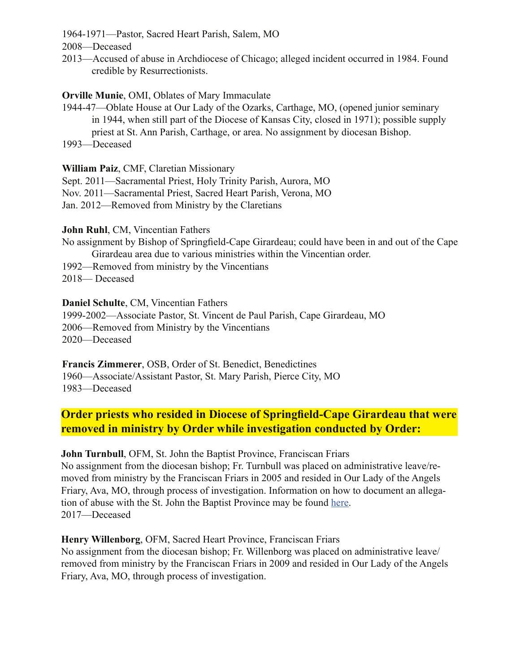1964-1971—Pastor, Sacred Heart Parish, Salem, MO

2008—Deceased

2013—Accused of abuse in Archdiocese of Chicago; alleged incident occurred in 1984. Found credible by Resurrectionists.

#### **Orville Munie**, OMI, Oblates of Mary Immaculate

1944-47—Oblate House at Our Lady of the Ozarks, Carthage, MO, (opened junior seminary in 1944, when still part of the Diocese of Kansas City, closed in 1971); possible supply priest at St. Ann Parish, Carthage, or area. No assignment by diocesan Bishop.

1993—Deceased

**William Paiz**, CMF, Claretian Missionary

Sept. 2011—Sacramental Priest, Holy Trinity Parish, Aurora, MO

Nov. 2011—Sacramental Priest, Sacred Heart Parish, Verona, MO

Jan. 2012—Removed from Ministry by the Claretians

**John Ruhl**, CM, Vincentian Fathers

No assignment by Bishop of Springfield-Cape Girardeau; could have been in and out of the Cape Girardeau area due to various ministries within the Vincentian order.

1992—Removed from ministry by the Vincentians

2018— Deceased

**Daniel Schulte**, CM, Vincentian Fathers

1999-2002—Associate Pastor, St. Vincent de Paul Parish, Cape Girardeau, MO 2006—Removed from Ministry by the Vincentians 2020—Deceased

**Francis Zimmerer**, OSB, Order of St. Benedict, Benedictines

1960—Associate/Assistant Pastor, St. Mary Parish, Pierce City, MO 1983—Deceased

# **Order priests who resided in Diocese of Springfield-Cape Girardeau that were removed in ministry by Order while investigation conducted by Order:**

**John Turnbull**, OFM, St. John the Baptist Province, Franciscan Friars No assignment from the diocesan bishop; Fr. Turnbull was placed on administrative leave/removed from ministry by the Franciscan Friars in 2005 and resided in Our Lady of the Angels Friary, Ava, MO, through process of investigation. Information on how to document an allegation of abuse with the St. John the Baptist Province may be found [here.](https://www.franciscan.org/protecting-gods-children/report-abuse/) 2017—Deceased

**Henry Willenborg**, OFM, Sacred Heart Province, Franciscan Friars

No assignment from the diocesan bishop; Fr. Willenborg was placed on administrative leave/ removed from ministry by the Franciscan Friars in 2009 and resided in Our Lady of the Angels Friary, Ava, MO, through process of investigation.